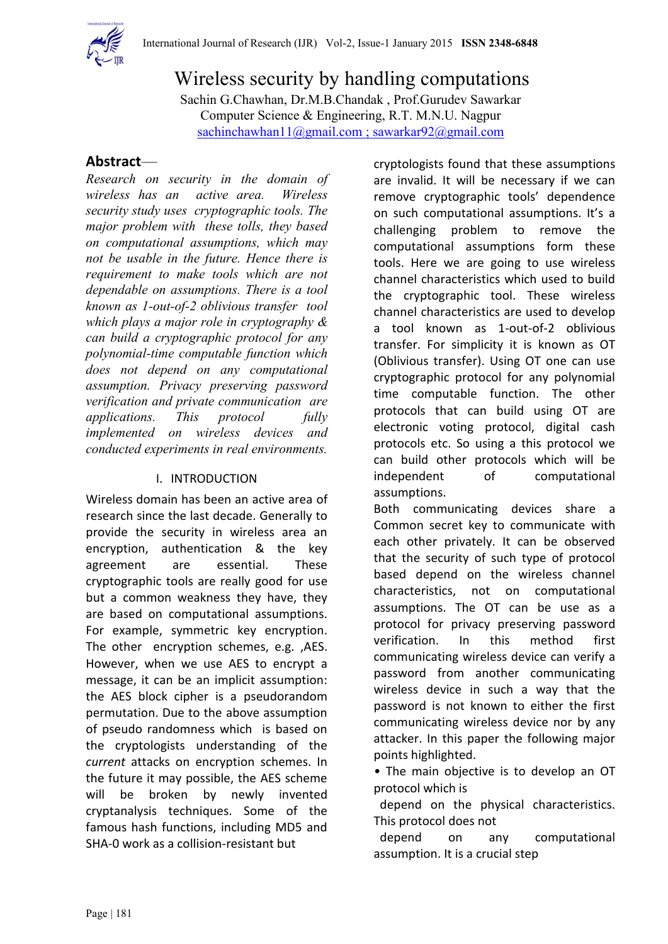

Wireless security by handling computations Sachin G.Chawhan, Dr.M.B.Chandak , Prof.Gurudev Sawarkar Computer Science & Engineering, R.T. M.N.U. Nagpur [sachinchawhan11@gmail.com](mailto:sachinchawhan11@gmail.com%20;%20sawarkar92@gmail.com) ; sawarkar92@gmail.com

# **Abstract**—

*Research on security in the domain of wireless has an active area. Wireless security study uses cryptographic tools. The major problem with these tolls, they based on computational assumptions, which may not be usable in the future. Hence there is requirement to make tools which are not dependable on assumptions. There is a tool known as 1-out-of-2 oblivious transfer tool which plays a major role in cryptography & can build a cryptographic protocol for any polynomial-time computable function which does not depend on any computational assumption. Privacy preserving password verification and private communication are applications. This protocol fully implemented on wireless devices and conducted experiments in real environments.*

# I. INTRODUCTION

Wireless domain has been an active area of research since the last decade. Generally to provide the security in wireless area an encryption, authentication & the key agreement are essential. These cryptographic tools are really good for use but a common weakness they have, they are based on computational assumptions. For example, symmetric key encryption. The other encryption schemes, e.g. ,AES. However, when we use AES to encrypt a message, it can be an implicit assumption: the AES block cipher is a pseudorandom permutation. Due to the above assumption of pseudo randomness which is based on the cryptologists understanding of the *current* attacks on encryption schemes. In the future it may possible, the AES scheme will be broken by newly invented cryptanalysis techniques. Some of the famous hash functions, including MD5 and SHA-0 work as a collision-resistant but

cryptologists found that these assumptions are invalid. It will be necessary if we can remove cryptographic tools' dependence on such computational assumptions. It's a challenging problem to remove the computational assumptions form these tools. Here we are going to use wireless channel characteristics which used to build the cryptographic tool. These wireless channel characteristics are used to develop a tool known as 1-out-of-2 oblivious transfer. For simplicity it is known as OT (Oblivious transfer). Using OT one can use cryptographic protocol for any polynomial time computable function. The other protocols that can build using OT are electronic voting protocol, digital cash protocols etc. So using a this protocol we can build other protocols which will be independent of computational assumptions.

Both communicating devices share a Common secret key to communicate with each other privately. It can be observed that the security of such type of protocol based depend on the wireless channel characteristics, not on computational assumptions. The OT can be use as a protocol for privacy preserving password verification. In this method first communicating wireless device can verify a password from another communicating wireless device in such a way that the password is not known to either the first communicating wireless device nor by any attacker. In this paper the following major points highlighted.

*•* The main objective is to develop an OT protocol which is

 depend on the physical characteristics. This protocol does not

 depend on any computational assumption. It is a crucial step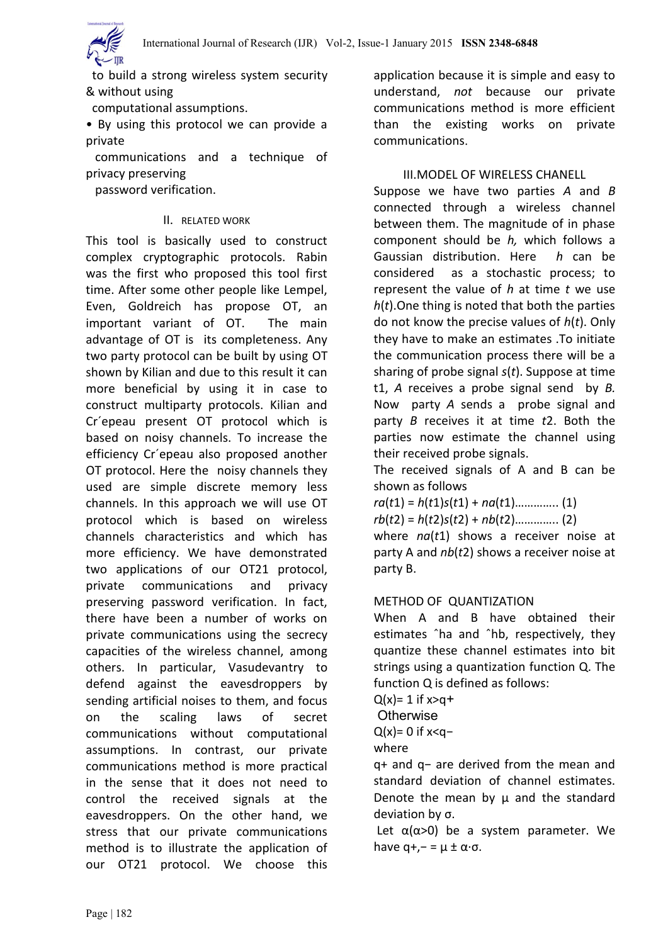to build a strong wireless system security & without using

computational assumptions.

• By using this protocol we can provide a private

 communications and a technique of privacy preserving

password verification.

#### II. RELATED WORK

This tool is basically used to construct complex cryptographic protocols. Rabin was the first who proposed this tool first time. After some other people like Lempel, Even, Goldreich has propose OT, an important variant of OT. The main advantage of OT is its completeness. Any two party protocol can be built by using OT shown by Kilian and due to this result it can more beneficial by using it in case to construct multiparty protocols. Kilian and Cr´epeau present OT protocol which is based on noisy channels. To increase the efficiency Cr´epeau also proposed another OT protocol. Here the noisy channels they used are simple discrete memory less channels. In this approach we will use OT protocol which is based on wireless channels characteristics and which has more efficiency. We have demonstrated two applications of our OT21 protocol, private communications and privacy preserving password verification. In fact, there have been a number of works on private communications using the secrecy capacities of the wireless channel, among others. In particular, Vasudevantry to defend against the eavesdroppers by sending artificial noises to them, and focus on the scaling laws of secret communications without computational assumptions. In contrast, our private communications method is more practical in the sense that it does not need to control the received signals at the eavesdroppers. On the other hand, we stress that our private communications method is to illustrate the application of our OT21 protocol. We choose this application because it is simple and easy to understand, *not* because our private communications method is more efficient than the existing works on private communications.

## III.MODEL OF WIRELESS CHANELL

Suppose we have two parties *A* and *B* connected through a wireless channel between them. The magnitude of in phase component should be *h,* which follows a Gaussian distribution. Here *h* can be considered as a stochastic process; to represent the value of *h* at time *t* we use *h*(*t*).One thing is noted that both the parties do not know the precise values of *h*(*t*). Only they have to make an estimates .To initiate the communication process there will be a sharing of probe signal *s*(*t*). Suppose at time t1, *A* receives a probe signal send by *B.* Now party *A* sends a probe signal and party *B* receives it at time *t*2. Both the parties now estimate the channel using their received probe signals.

The received signals of A and B can be shown as follows

*ra*(*t*1) = *h*(*t*1)*s*(*t*1) + *na*(*t*1)………….. (1) *rb*(*t*2) = *h*(*t*2)*s*(*t*2) + *nb*(*t*2)………….. (2) where *na*(*t*1) shows a receiver noise at party A and *nb*(*t*2) shows a receiver noise at party B.

#### METHOD OF QUANTIZATION

When A and B have obtained their estimates ˆha and ˆhb, respectively, they quantize these channel estimates into bit strings using a quantization function Q. The function Q is defined as follows:

 $Q(x) = 1$  if  $x > q +$ 

**Otherwise** 

 $Q(x)=0$  if  $x < q-$ 

where

q+ and q− are derived from the mean and standard deviation of channel estimates. Denote the mean by  $\mu$  and the standard deviation by σ.

Let  $\alpha(\alpha > 0)$  be a system parameter. We have  $q+/- = \mu \pm \alpha \cdot \sigma$ .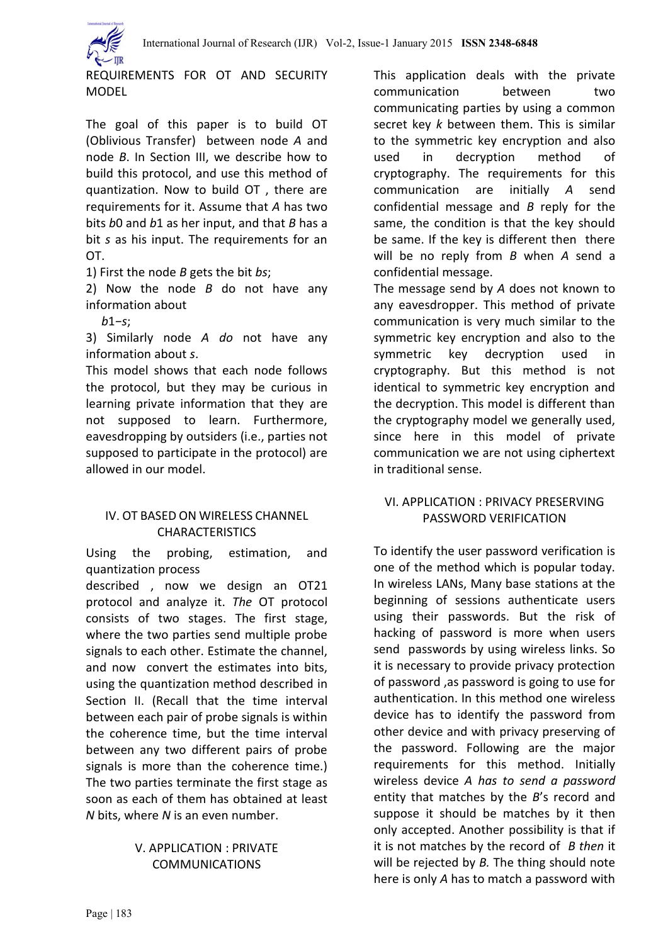

REQUIREMENTS FOR OT AND SECURITY MODEL

The goal of this paper is to build OT (Oblivious Transfer) between node *A* and node *B*. In Section III, we describe how to build this protocol, and use this method of quantization. Now to build OT , there are requirements for it. Assume that *A* has two bits *b*0 and *b*1 as her input, and that *B* has a bit *s* as his input. The requirements for an OT.

1) First the node *B* gets the bit *bs*;

2) Now the node *B* do not have any information about

*b*1*−s*;

3) Similarly node *A do* not have any information about *s*.

This model shows that each node follows the protocol, but they may be curious in learning private information that they are not supposed to learn. Furthermore, eavesdropping by outsiders (i.e., parties not supposed to participate in the protocol) are allowed in our model.

## IV. OT BASED ON WIRELESS CHANNEL **CHARACTERISTICS**

Using the probing, estimation, and quantization process

described , now we design an OT21 protocol and analyze it. *The* OT protocol consists of two stages. The first stage, where the two parties send multiple probe signals to each other. Estimate the channel, and now convert the estimates into bits, using the quantization method described in Section II. (Recall that the time interval between each pair of probe signals is within the coherence time, but the time interval between any two different pairs of probe signals is more than the coherence time.) The two parties terminate the first stage as soon as each of them has obtained at least *N* bits, where *N* is an even number.

## V. APPLICATION : PRIVATE COMMUNICATIONS

This application deals with the private communication between two communicating parties by using a common secret key *k* between them. This is similar to the symmetric key encryption and also used in decryption method of cryptography. The requirements for this communication are initially *A* send confidential message and *B* reply for the same, the condition is that the key should be same. If the key is different then there will be no reply from *B* when *A* send a confidential message.

The message send by *A* does not known to any eavesdropper. This method of private communication is very much similar to the symmetric key encryption and also to the symmetric key decryption used in cryptography. But this method is not identical to symmetric key encryption and the decryption. This model is different than the cryptography model we generally used, since here in this model of private communication we are not using ciphertext in traditional sense.

## VI. APPLICATION : PRIVACY PRESERVING PASSWORD VERIFICATION

To identify the user password verification is one of the method which is popular today. In wireless LANs, Many base stations at the beginning of sessions authenticate users using their passwords. But the risk of hacking of password is more when users send passwords by using wireless links. So it is necessary to provide privacy protection of password ,as password is going to use for authentication. In this method one wireless device has to identify the password from other device and with privacy preserving of the password. Following are the major requirements for this method. Initially wireless device *A has to send a password*  entity that matches by the *B*'s record and suppose it should be matches by it then only accepted. Another possibility is that if it is not matches by the record of *B then* it will be rejected by *B.* The thing should note here is only *A* has to match a password with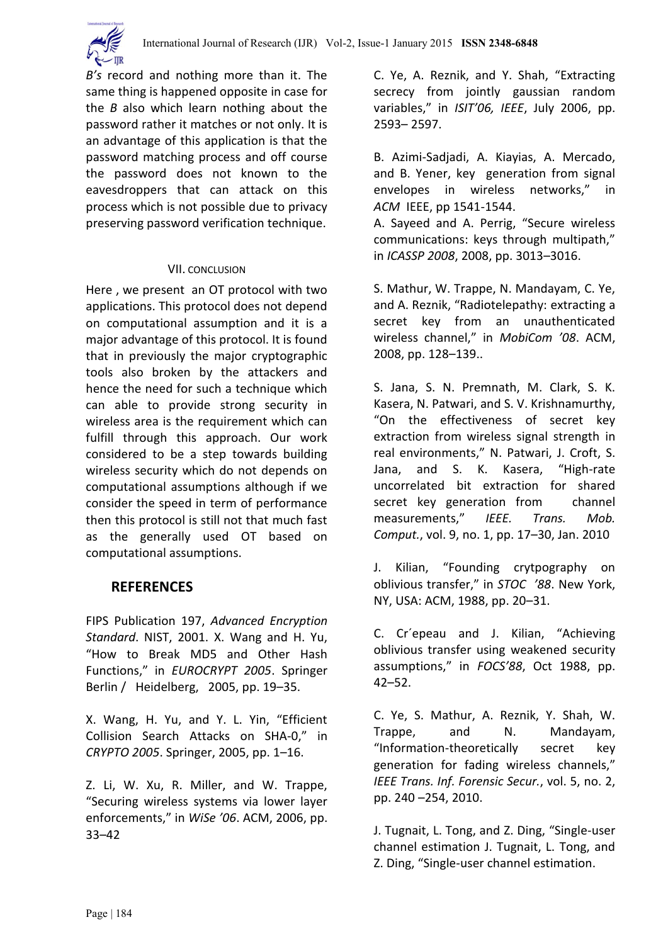

*B's* record and nothing more than it. The same thing is happened opposite in case for the *B* also which learn nothing about the password rather it matches or not only. It is an advantage of this application is that the password matching process and off course the password does not known to the eavesdroppers that can attack on this process which is not possible due to privacy preserving password verification technique.

## VII. CONCLUSION

Here , we present an OT protocol with two applications. This protocol does not depend on computational assumption and it is a major advantage of this protocol. It is found that in previously the major cryptographic tools also broken by the attackers and hence the need for such a technique which can able to provide strong security in wireless area is the requirement which can fulfill through this approach. Our work considered to be a step towards building wireless security which do not depends on computational assumptions although if we consider the speed in term of performance then this protocol is still not that much fast as the generally used OT based on computational assumptions.

# **REFERENCES**

FIPS Publication 197, *Advanced Encryption Standard*. NIST, 2001. X. Wang and H. Yu, "How to Break MD5 and Other Hash Functions," in *EUROCRYPT 2005*. Springer Berlin / Heidelberg, 2005, pp. 19–35.

X. Wang, H. Yu, and Y. L. Yin, "Efficient Collision Search Attacks on SHA-0," in *CRYPTO 2005*. Springer, 2005, pp. 1–16.

Z. Li, W. Xu, R. Miller, and W. Trappe, "Securing wireless systems via lower layer enforcements," in *WiSe '06*. ACM, 2006, pp. 33–42

C. Ye, A. Reznik, and Y. Shah, "Extracting secrecy from jointly gaussian random variables," in *ISIT'06, IEEE*, July 2006, pp. 2593– 2597.

B. Azimi-Sadjadi, A. Kiayias, A. Mercado, and B. Yener, key generation from signal envelopes in wireless networks," in *ACM* IEEE, pp 1541-1544.

A. Sayeed and A. Perrig, "Secure wireless communications: keys through multipath," in *ICASSP 2008*, 2008, pp. 3013–3016.

S. Mathur, W. Trappe, N. Mandayam, C. Ye, and A. Reznik, "Radiotelepathy: extracting a secret key from an unauthenticated wireless channel," in *MobiCom '08*. ACM, 2008, pp. 128–139..

S. Jana, S. N. Premnath, M. Clark, S. K. Kasera, N. Patwari, and S. V. Krishnamurthy, "On the effectiveness of secret key extraction from wireless signal strength in real environments," N. Patwari, J. Croft, S. Jana, and S. K. Kasera, "High-rate uncorrelated bit extraction for shared secret key generation from channel measurements," *IEEE. Trans. Mob. Comput.*, vol. 9, no. 1, pp. 17–30, Jan. 2010

J. Kilian, "Founding crytpography on oblivious transfer," in *STOC '88*. New York, NY, USA: ACM, 1988, pp. 20–31.

C. Cr´epeau and J. Kilian, "Achieving oblivious transfer using weakened security assumptions," in *FOCS'88*, Oct 1988, pp. 42–52.

C. Ye, S. Mathur, A. Reznik, Y. Shah, W. Trappe, and N. Mandayam, "Information-theoretically secret key generation for fading wireless channels," *IEEE Trans. Inf. Forensic Secur.*, vol. 5, no. 2, pp. 240 –254, 2010.

J. Tugnait, L. Tong, and Z. Ding, "Single-user channel estimation J. Tugnait, L. Tong, and Z. Ding, "Single-user channel estimation.